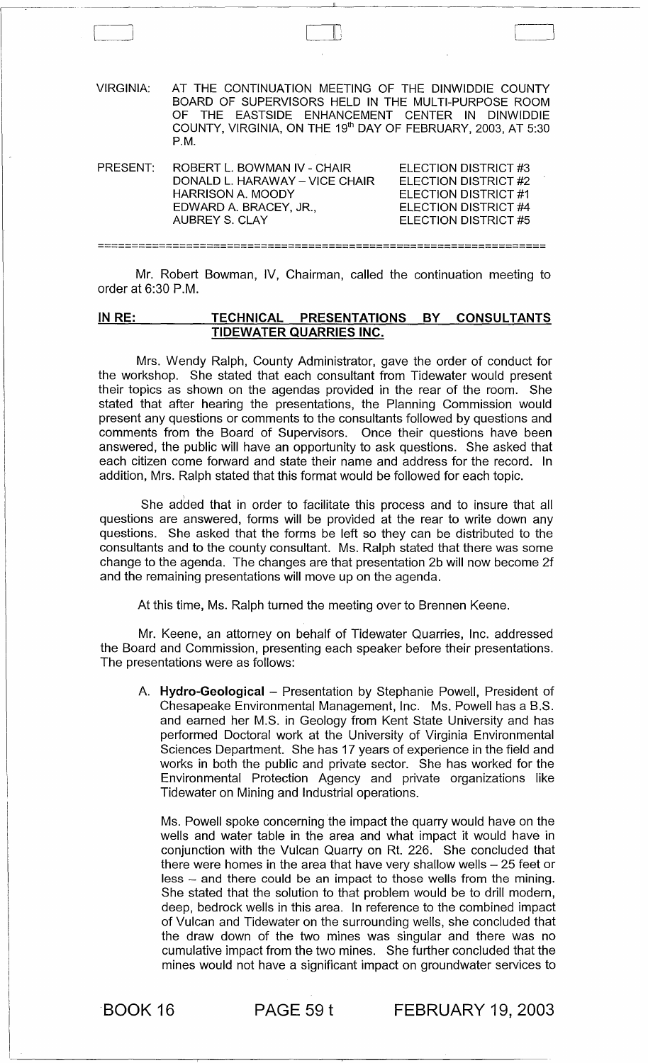| VIRGINIA: | AT THE CONTINUATION MEETING OF THE DINWIDDIE COUNTY<br>BOARD OF SUPERVISORS HELD IN THE MULTI-PURPOSE ROOM<br>OF THE EASTSIDE ENHANCEMENT CENTER IN DINWIDDIE<br>COUNTY, VIRGINIA, ON THE 19 <sup>th</sup> DAY OF FEBRUARY, 2003, AT 5:30<br>P.M. |                                                                                                                      |
|-----------|---------------------------------------------------------------------------------------------------------------------------------------------------------------------------------------------------------------------------------------------------|----------------------------------------------------------------------------------------------------------------------|
| PRESENT:  | ROBERT L. BOWMAN IV - CHAIR<br>DONALD L. HARAWAY - VICE CHAIR<br><b>HARRISON A. MOODY</b><br>EDWARD A. BRACEY, JR.,<br><b>AUBREY S. CLAY</b>                                                                                                      | ELECTION DISTRICT #3<br>ELECTION DISTRICT #2<br>ELECTION DISTRICT #1<br>ELECTION DISTRICT #4<br>ELECTION DISTRICT #5 |

'-------~ J III

Mr. Robert Bowman, IV, Chairman, called the continuation meeting to order at 6:30 P.M.

==================================================================

## IN RE: TECHNICAL PRESENTATIONS BY CONSULTANTS TIDEWATER QUARRIES INC.

Mrs. Wendy Ralph, County Administrator, gave the order of conduct for the workshop. She stated that each consultant from Tidewater would present their topics as shown on the agendas provided in the rear of the room. She stated that after hearing the presentations, the Planning Commission would present any questions or comments to the consultants followed by questions and comments from the Board of Supervisors. Once their questions have been answered, the public will have an opportunity to ask questions. She asked that each citizen come forward and state their name and address for the record. In addition, Mrs. Ralph stated that this format would be followed for each topic.

She added that in order to facilitate this process and to insure that all questions are answered, forms will be provided at the rear to write down any questions. She asked that the forms be left so they can be distributed to the consultants and to the county consultant. Ms. Ralph stated that there was some change to the agenda. The changes are that presentation 2b will now become 2f and the remaining presentations will move up on the agenda.

At this time, Ms. Ralph turned the meeting over to Brennen Keene.

Mr. Keene, an attorney on behalf of Tidewater Quarries, Inc. addressed the Board and Commission, presenting each speaker before their presentations. The presentations were as follows:

A. Hydro-Geological - Presentation by Stephanie Powell, President of Chesapeake Environmental Management, Inc. Ms. Powell has a B.S. and earned her M.S. in Geology from Kent State University and has performed Doctoral work at the University of Virginia Environmental Sciences Department. She has 17 years of experience in the field and works in both the public and private sector. She has worked for the Environmental Protection Agency and private organizations like Tidewater on Mining and Industrial operations.

Ms. Powell spoke concerning the impact the quarry would have on the wells and water table in the area and what impact it would have in conjunction with the Vulcan Quarry on Rt. 226. She concluded that there were homes in the area that have very shallow wells  $-25$  feet or less - and there could be an impact to those wells from the mining. She stated that the solution to that problem would be to drill modern, deep, bedrock wells in this area. In reference to the combined impact of Vulcan and Tidewater on the surrounding wells, she concluded that the draw down of the two mines was singular and there was no cumulative impact from the two mines. She further concluded that the mines would not have a significant impact on groundwater services to

BOOK 16 PAGE 59 t FEBRUARY 19, 2003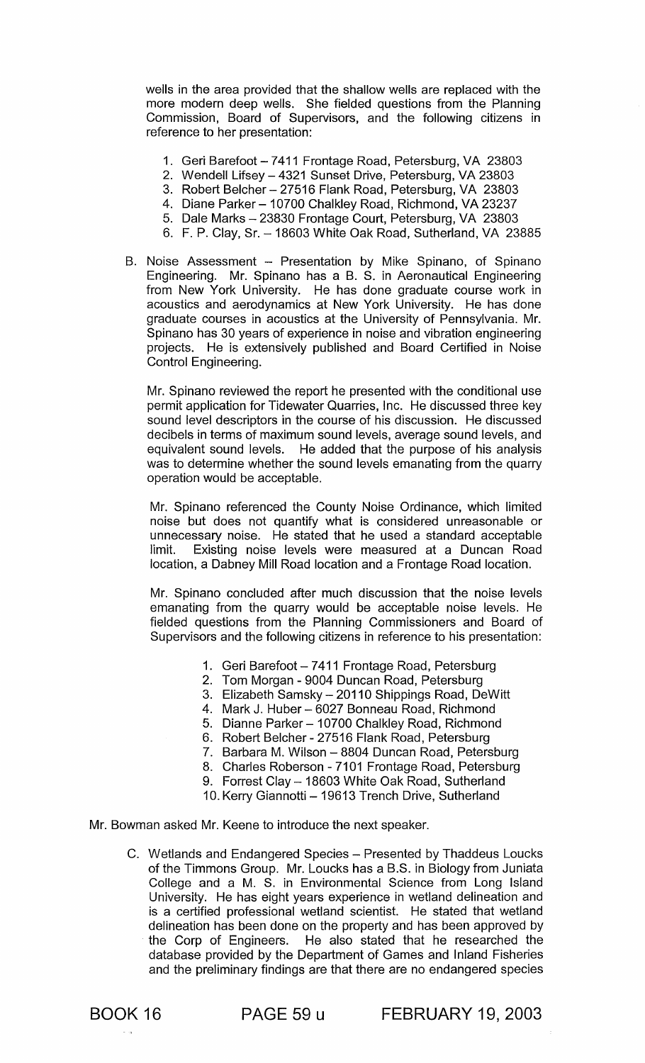wells in the area provided that the shallow wells are replaced with the more modern deep wells. She fielded questions from the Planning Commission, Board of Supervisors, and the following citizens in reference to her presentation:

- 1. Geri Barefoot 7411 Frontage Road, Petersburg, VA 23803
- 2. Wendell Lifsey 4321 Sunset Drive, Petersburg, VA 23803
- 3. Robert Belcher- 27516 Flank Road, Petersburg, VA 23803
- 4. Diane Parker 10700 Chalkley Road, Richmond, VA 23237
- 5. Dale Marks 23830 Frontage Court, Petersburg, VA 23803
- 6. F. P. Clay, Sr. 18603 White Oak Road, Sutherland, VA 23885
- B. Noise Assessment Presentation by Mike Spinano, of Spinano Engineering. Mr. Spinano has a B. S. in Aeronautical Engineering from New York University. He has done graduate course work in acoustics and aerodynamics at New York University. He has done graduate courses in acoustics at the University of Pennsylvania. Mr. Spinano has 30 years of experience in noise and vibration engineering projects. He is extensively published and Board Certified in Noise Control Engineering.

Mr. Spinano reviewed the report he presented with the conditional use permit application for Tidewater Quarries, Inc. He discussed three key sound level descriptors in the course of his discussion. He discussed decibels in terms of maximum sound levels, average sound levels, and equivalent sound levels. He added that the purpose of his analysis was to determine whether the sound levels emanating from the quarry operation would be acceptable.

Mr. Spinano referenced the County Noise Ordinance, which limited noise but does not quantify what is considered unreasonable or unnecessary noise. He stated that he used a standard acceptable limit. Existing noise levels were measured at a Duncan Road location, a Dabney Mill Road location and a Frontage Road location.

Mr. Spinano concluded after much discussion that the noise levels emanating from the quarry would be acceptable noise levels. He fielded questions from the Planning Commissioners and Board of Supervisors and the following citizens in reference to his presentation:

- 1. Geri Barefoot 7411 Frontage Road, Petersburg
- 2. Tom Morgan 9004 Duncan Road, Petersburg
- 3. Elizabeth Samsky 20110 Shippings Road, DeWitt
- 4. Mark J. Huber 6027 Bonneau Road, Richmond
- 5. Dianne Parker 10700 Chalkley Road, Richmond
- 6. Robert Belcher 27516 Flank Road, Petersburg
- 7. Barbara M. Wilson 8804 Duncan Road, Petersburg
- 8. Charles Roberson 7101 Frontage Road, Petersburg
- 9. Forrest Clay 18603 White Oak Road, Sutherland
- 10. Kerry Giannotti 19613 Trench Drive, Sutherland

Mr. Bowman asked Mr. Keene to introduce the next speaker.

C. Wetlands and Endangered Species - Presented by Thaddeus Loucks of the Timmons Group. Mr. Loucks has a B.S. in Biology from Juniata College and a M. S. in Environmental Science from Long Island University. He has eight years experience in wetland delineation and is a certified professional wetland scientist. He stated that wetland delineation has been done on the property and has been approved by the Corp of Engineers. He also stated that he researched the database provided by the Department of Games and Inland Fisheries and the preliminary findings are that there are no endangered species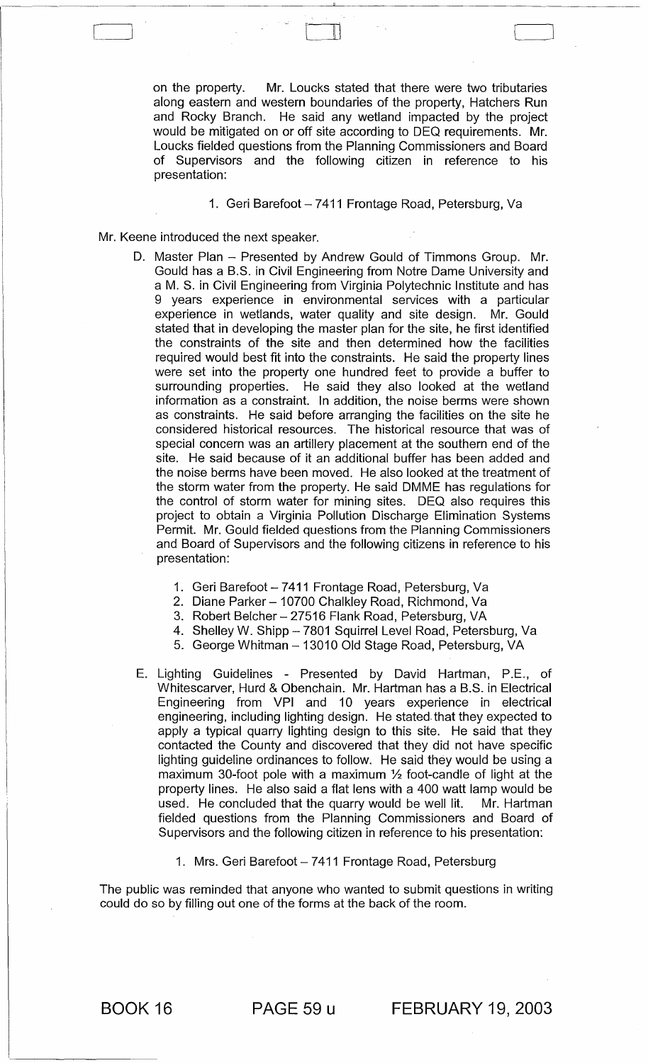on the property. Mr. Loucks stated that there were two tributaries along eastern and western boundaries of the property, Hatchers Run and Rocky Branch. He said any wetland impacted by the project would be mitigated on or off site according to DEQ requirements. Mr. Loucks fielded questions from the Planning Commissioners and Board of Supervisors and the following citizen in reference to his presentation:

 $\Box$ 

## 1. Geri Barefoot - 7411 Frontage Road, Petersburg, Va

- Mr. Keene introduced the next speaker.
	- D. Master Plan Presented by Andrew Gould of Timmons Group. Mr. Gould has a B.S. in Civil Engineering from Notre Dame University and a M. S. in Civil Engineering from Virginia Polytechnic Institute and has 9 years experience in environmental services with a particular experience in wetlands, water quality and site design. Mr. Gould stated that in developing the master plan for the site, he first identified the constraints of the site and then determined how the facilities required would best fit into the constraints. He said the property lines were set into the property one hundred feet to provide a buffer to surrounding properties. He said they also looked at the wetland information as a constraint. In addition, the noise berms were shown as constraints. He said before arranging the facilities on the site he considered historical resources. The historical resource that was of special concern was an artillery placement at the southern end of the site. He said because of it an additional buffer has been added and the noise berms have been moved. He also looked at the treatment of the storm water from the property. He said DMME has regulations for the control of storm water for mining sites. DEQ also requires this project to obtain a Virginia Pollution Discharge Elimination Systems Permit. Mr. Gould fielded questions from the Planning Commissioners and Board of Supervisors and the following citizens in reference to his presentation:
		- 1. Geri Barefoot 7411 Frontage Road, Petersburg, Va
		- 2. Diane Parker 10700 Chalkley Road, Richmond, Va
		- 3. Robert Belcher 27516 Flank Road, Petersburg, VA
		- 4. Shelley W. Shipp 7801 Squirrel Level Road, Petersburg, Va
		- 5. George Whitman 13010 Old Stage Road, Petersburg, VA
	- E. Lighting Guidelines Presented by David Hartman, P.E., of Whitescarver, Hurd & Obenchain. Mr. Hartman has a B.S. in Electrical Engineering from VPI and 10 years experience in electrical engineering, including lighting design. He stated. that they expected to apply a typical quarry lighting design to this site. He said that they contacted the County and discovered that they did not have specific lighting guideline ordinances to follow. He said they would be using a maximum 30-foot pole with a maximum  $\frac{1}{2}$  foot-candle of light at the property lines. He also said a flat lens with a 400 watt lamp would be used. He concluded that the quarry would be well lit. Mr. Hartman fielded questions from the Planning Commissioners and Board of Supervisors and the following citizen in reference to his presentation:
		- 1. Mrs. Geri Barefoot 7411 Frontage Road, Petersburg

The public was reminded that anyone who wanted to submit questions in writing could do so by filling out one of the forms at the back of the room.

BOOK 16 PAGE 59 u FEBRUARY 19, 2003